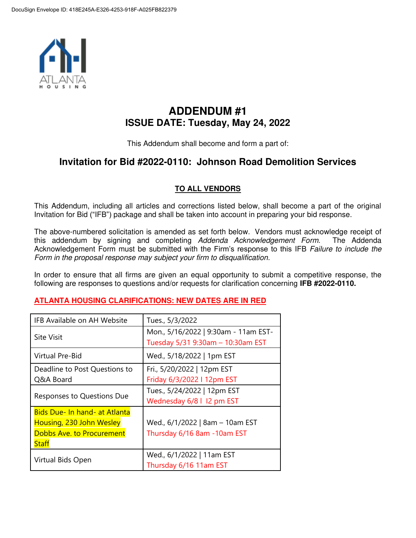

# **ADDENDUM #1 ISSUE DATE: Tuesday, May 24, 2022**

This Addendum shall become and form a part of:

## **Invitation for Bid #2022-0110: Johnson Road Demolition Services**

## **TO ALL VENDORS**

This Addendum, including all articles and corrections listed below, shall become a part of the original Invitation for Bid ("IFB") package and shall be taken into account in preparing your bid response.

The above-numbered solicitation is amended as set forth below. Vendors must acknowledge receipt of this addendum by signing and completing Addenda Acknowledgement Form. The Addenda Acknowledgement Form must be submitted with the Firm's response to this IFB Failure to include the Form in the proposal response may subject your firm to disqualification.

In order to ensure that all firms are given an equal opportunity to submit a competitive response, the following are responses to questions and/or requests for clarification concerning **IFB #2022-0110.** 

### **ATLANTA HOUSING CLARIFICATIONS: NEW DATES ARE IN RED**

| IFB Available on AH Website                                                                                   | Tues., 5/3/2022                                                           |
|---------------------------------------------------------------------------------------------------------------|---------------------------------------------------------------------------|
| <b>Site Visit</b>                                                                                             | Mon., 5/16/2022   9:30am - 11am EST-<br>Tuesday 5/31 9:30am - 10:30am EST |
| <b>Virtual Pre-Bid</b>                                                                                        | Wed., 5/18/2022   1pm EST                                                 |
| Deadline to Post Questions to<br>Q&A Board                                                                    | Fri., 5/20/2022   12pm EST<br>Friday 6/3/2022 I 12pm EST                  |
| Responses to Questions Due                                                                                    | Tues., 5/24/2022   12pm EST<br>Wednesday 6/8   I2 pm EST                  |
| <b>Bids Due- In hand- at Atlanta</b><br>Housing, 230 John Wesley<br><b>Dobbs Ave. to Procurement</b><br>Staff | Wed., 6/1/2022   8am - 10am EST<br>Thursday 6/16 8am -10am EST            |
| Virtual Bids Open                                                                                             | Wed., 6/1/2022   11am EST<br>Thursday 6/16 11am EST                       |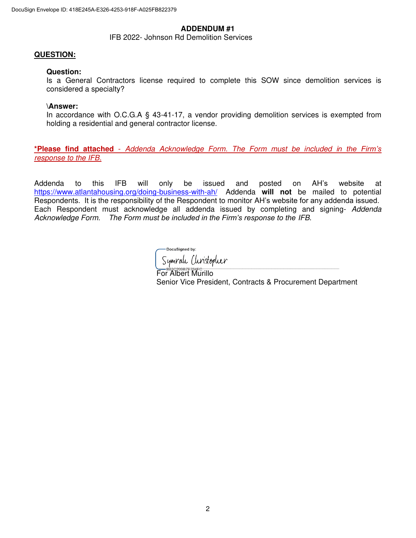#### **ADDENDUM #1**

IFB 2022- Johnson Rd Demolition Services

#### **QUESTION:**

#### **Question:**

Is a General Contractors license required to complete this SOW since demolition services is considered a specialty?

#### **\Answer:**

In accordance with O.C.G.A § 43-41-17, a vendor providing demolition services is exempted from holding a residential and general contractor license.

**\*Please find attached** - Addenda Acknowledge Form. The Form must be included i*n the Firm's*  response to the IFB.

Addenda to this IFB will only be issued and posted on AH's website at <https://www.atlantahousing.org/doing-business-with-ah/>Addenda **will not** be mailed to potential Respondents. It is the responsibility of the Respondent to monitor AH's website for any addenda issued. Each Respondent must acknowledge all addenda issued by completing and signing- Addenda Acknowledge Form. The F*orm must be included in the Firm's response to the* IFB.

DocuSigned by: Symrale Clivistopher

\_\_\_\_\_\_\_\_\_\_\_\_\_\_\_\_\_\_\_\_\_\_\_\_\_\_\_\_\_\_\_\_\_\_\_\_\_\_\_\_\_\_\_\_\_\_\_\_\_\_\_\_\_\_\_\_\_\_\_\_\_\_\_\_\_\_\_\_\_\_\_\_\_\_\_\_\_\_\_\_\_\_\_\_\_\_\_\_\_\_\_\_\_\_\_\_\_\_\_\_\_\_\_\_\_\_\_\_\_\_\_\_\_\_\_\_\_\_\_\_\_ For Albert Murillo Senior Vice President, Contracts & Procurement Department